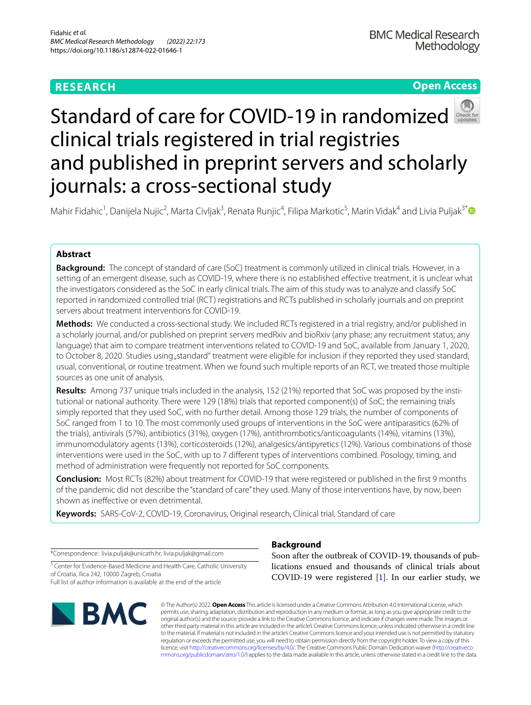# **RESEARCH**

# **Open Access**



# Standard of care for COVID-19 in randomized clinical trials registered in trial registries and published in preprint servers and scholarly journals: a cross-sectional study

Mahir Fidahic<sup>1</sup>, Danijela Nujic<sup>2</sup>, Marta Civljak<sup>3</sup>, Renata Runjic<sup>4</sup>, Filipa Markotic<sup>5</sup>, Marin Vidak<sup>4</sup> and Livia Puljak<sup>3\*</sup>

# **Abstract**

**Background:** The concept of standard of care (SoC) treatment is commonly utilized in clinical trials. However, in a setting of an emergent disease, such as COVID-19, where there is no established effective treatment, it is unclear what the investigators considered as the SoC in early clinical trials. The aim of this study was to analyze and classify SoC reported in randomized controlled trial (RCT) registrations and RCTs published in scholarly journals and on preprint servers about treatment interventions for COVID-19.

**Methods:** We conducted a cross-sectional study. We included RCTs registered in a trial registry, and/or published in a scholarly journal, and/or published on preprint servers medRxiv and bioRxiv (any phase; any recruitment status; any language) that aim to compare treatment interventions related to COVID-19 and SoC, available from January 1, 2020, to October 8, 2020. Studies using "standard" treatment were eligible for inclusion if they reported they used standard, usual, conventional, or routine treatment. When we found such multiple reports of an RCT, we treated those multiple sources as one unit of analysis.

**Results:** Among 737 unique trials included in the analysis, 152 (21%) reported that SoC was proposed by the institutional or national authority. There were 129 (18%) trials that reported component(s) of SoC; the remaining trials simply reported that they used SoC, with no further detail. Among those 129 trials, the number of components of SoC ranged from 1 to 10. The most commonly used groups of interventions in the SoC were antiparasitics (62% of the trials), antivirals (57%), antibiotics (31%), oxygen (17%), antithrombotics/anticoagulants (14%), vitamins (13%), immunomodulatory agents (13%), corticosteroids (12%), analgesics/antipyretics (12%). Various combinations of those interventions were used in the SoC, with up to 7 diferent types of interventions combined. Posology, timing, and method of administration were frequently not reported for SoC components.

**Conclusion:** Most RCTs (82%) about treatment for COVID-19 that were registered or published in the frst 9 months of the pandemic did not describe the "standard of care" they used. Many of those interventions have, by now, been shown as inefective or even detrimental.

**Keywords:** SARS-CoV-2, COVID-19, Coronavirus, Original research, Clinical trial, Standard of care

\*Correspondence: livia.puljak@unicath.hr; livia.puljak@gmail.com

<sup>3</sup> Center for Evidence-Based Medicine and Health Care, Catholic University of Croatia, Ilica 242, 10000 Zagreb, Croatia Full list of author information is available at the end of the article



# **Background**

Soon after the outbreak of COVID-19, thousands of publications ensued and thousands of clinical trials about COVID-19 were registered [[1\]](#page-6-0). In our earlier study, we

© The Author(s) 2022. **Open Access** This article is licensed under a Creative Commons Attribution 4.0 International License, which permits use, sharing, adaptation, distribution and reproduction in any medium or format, as long as you give appropriate credit to the original author(s) and the source, provide a link to the Creative Commons licence, and indicate if changes were made. The images or other third party material in this article are included in the article's Creative Commons licence, unless indicated otherwise in a credit line to the material. If material is not included in the article's Creative Commons licence and your intended use is not permitted by statutory regulation or exceeds the permitted use, you will need to obtain permission directly from the copyright holder. To view a copy of this licence, visit [http://creativecommons.org/licenses/by/4.0/.](http://creativecommons.org/licenses/by/4.0/) The Creative Commons Public Domain Dedication waiver ([http://creativeco](http://creativecommons.org/publicdomain/zero/1.0/) [mmons.org/publicdomain/zero/1.0/](http://creativecommons.org/publicdomain/zero/1.0/)) applies to the data made available in this article, unless otherwise stated in a credit line to the data.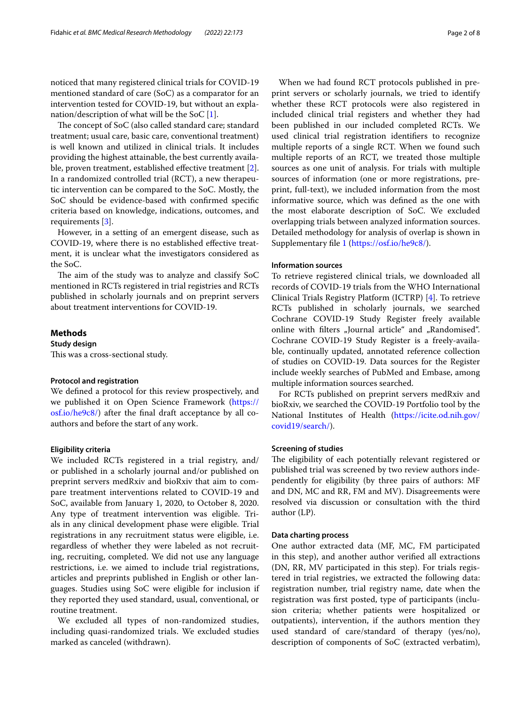noticed that many registered clinical trials for COVID-19 mentioned standard of care (SoC) as a comparator for an intervention tested for COVID-19, but without an explanation/description of what will be the SoC [[1\]](#page-6-0).

The concept of SoC (also called standard care; standard treatment; usual care, basic care, conventional treatment) is well known and utilized in clinical trials. It includes providing the highest attainable, the best currently availa-ble, proven treatment, established effective treatment [\[2](#page-6-1)]. In a randomized controlled trial (RCT), a new therapeutic intervention can be compared to the SoC. Mostly, the SoC should be evidence-based with confrmed specifc criteria based on knowledge, indications, outcomes, and requirements [\[3\]](#page-6-2).

However, in a setting of an emergent disease, such as COVID-19, where there is no established efective treatment, it is unclear what the investigators considered as the SoC.

The aim of the study was to analyze and classify SoC mentioned in RCTs registered in trial registries and RCTs published in scholarly journals and on preprint servers about treatment interventions for COVID-19.

# **Methods**

**Study design**

This was a cross-sectional study.

### **Protocol and registration**

We defned a protocol for this review prospectively, and we published it on Open Science Framework [\(https://](https://osf.io/he9c8/) [osf.io/he9c8/\)](https://osf.io/he9c8/) after the fnal draft acceptance by all coauthors and before the start of any work.

#### **Eligibility criteria**

We included RCTs registered in a trial registry, and/ or published in a scholarly journal and/or published on preprint servers medRxiv and bioRxiv that aim to compare treatment interventions related to COVID-19 and SoC, available from January 1, 2020, to October 8, 2020. Any type of treatment intervention was eligible. Trials in any clinical development phase were eligible. Trial registrations in any recruitment status were eligible, i.e. regardless of whether they were labeled as not recruiting, recruiting, completed. We did not use any language restrictions, i.e. we aimed to include trial registrations, articles and preprints published in English or other languages. Studies using SoC were eligible for inclusion if they reported they used standard, usual, conventional, or routine treatment.

We excluded all types of non-randomized studies, including quasi-randomized trials. We excluded studies marked as canceled (withdrawn).

When we had found RCT protocols published in preprint servers or scholarly journals, we tried to identify whether these RCT protocols were also registered in included clinical trial registers and whether they had been published in our included completed RCTs. We used clinical trial registration identifers to recognize multiple reports of a single RCT. When we found such multiple reports of an RCT, we treated those multiple sources as one unit of analysis. For trials with multiple sources of information (one or more registrations, preprint, full-text), we included information from the most informative source, which was defned as the one with the most elaborate description of SoC. We excluded overlapping trials between analyzed information sources. Detailed methodology for analysis of overlap is shown in Supplementary fle [1](#page-6-3) [\(https://osf.io/he9c8/](https://osf.io/he9c8/)).

# **Information sources**

To retrieve registered clinical trials, we downloaded all records of COVID-19 trials from the WHO International Clinical Trials Registry Platform (ICTRP) [[4\]](#page-6-4). To retrieve RCTs published in scholarly journals, we searched Cochrane COVID-19 Study Register freely available online with filters "Journal article" and "Randomised". Cochrane COVID-19 Study Register is a freely-available, continually updated, annotated reference collection of studies on COVID-19. Data sources for the Register include weekly searches of PubMed and Embase, among multiple information sources searched.

For RCTs published on preprint servers medRxiv and bioRxiv, we searched the COVID-19 Portfolio tool by the National Institutes of Health [\(https://icite.od.nih.gov/](https://icite.od.nih.gov/covid19/search/) [covid19/search/](https://icite.od.nih.gov/covid19/search/)).

### **Screening of studies**

The eligibility of each potentially relevant registered or published trial was screened by two review authors independently for eligibility (by three pairs of authors: MF and DN, MC and RR, FM and MV). Disagreements were resolved via discussion or consultation with the third author (LP).

#### **Data charting process**

One author extracted data (MF, MC, FM participated in this step), and another author verifed all extractions (DN, RR, MV participated in this step). For trials registered in trial registries, we extracted the following data: registration number, trial registry name, date when the registration was frst posted, type of participants (inclusion criteria; whether patients were hospitalized or outpatients), intervention, if the authors mention they used standard of care/standard of therapy (yes/no), description of components of SoC (extracted verbatim),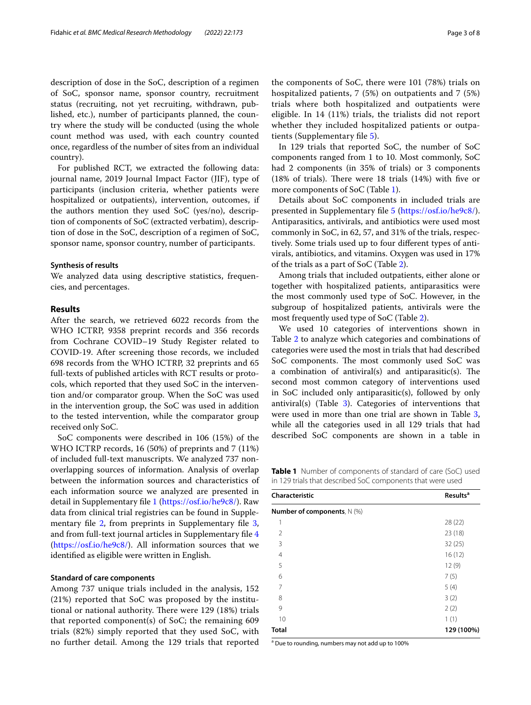description of dose in the SoC, description of a regimen of SoC, sponsor name, sponsor country, recruitment status (recruiting, not yet recruiting, withdrawn, published, etc.), number of participants planned, the country where the study will be conducted (using the whole count method was used, with each country counted once, regardless of the number of sites from an individual country).

For published RCT, we extracted the following data: journal name, 2019 Journal Impact Factor (JIF), type of participants (inclusion criteria, whether patients were hospitalized or outpatients), intervention, outcomes, if the authors mention they used SoC (yes/no), description of components of SoC (extracted verbatim), description of dose in the SoC, description of a regimen of SoC, sponsor name, sponsor country, number of participants.

# **Synthesis of results**

We analyzed data using descriptive statistics, frequencies, and percentages.

# **Results**

After the search, we retrieved 6022 records from the WHO ICTRP, 9358 preprint records and 356 records from Cochrane COVID–19 Study Register related to COVID-19. After screening those records, we included 698 records from the WHO ICTRP, 32 preprints and 65 full-texts of published articles with RCT results or protocols, which reported that they used SoC in the intervention and/or comparator group. When the SoC was used in the intervention group, the SoC was used in addition to the tested intervention, while the comparator group received only SoC.

SoC components were described in 106 (15%) of the WHO ICTRP records, 16 (50%) of preprints and 7 (11%) of included full-text manuscripts. We analyzed 737 nonoverlapping sources of information. Analysis of overlap between the information sources and characteristics of each information source we analyzed are presented in detail in Supplementary fle [1](#page-6-3) (<https://osf.io/he9c8/>). Raw data from clinical trial registries can be found in Supplementary file  $2$ , from preprints in Supplementary file  $3$ , and from full-text journal articles in Supplementary fle [4](#page-6-7) ([https://osf.io/he9c8/\)](https://osf.io/he9c8/). All information sources that we identifed as eligible were written in English.

## **Standard of care components**

Among 737 unique trials included in the analysis, 152 (21%) reported that SoC was proposed by the institutional or national authority. There were 129 (18%) trials that reported component(s) of SoC; the remaining 609 trials (82%) simply reported that they used SoC, with no further detail. Among the 129 trials that reported the components of SoC, there were 101 (78%) trials on hospitalized patients, 7 (5%) on outpatients and 7 (5%) trials where both hospitalized and outpatients were eligible. In 14 (11%) trials, the trialists did not report whether they included hospitalized patients or outpatients (Supplementary fle [5\)](#page-6-8).

In 129 trials that reported SoC, the number of SoC components ranged from 1 to 10. Most commonly, SoC had 2 components (in 35% of trials) or 3 components (18% of trials). There were 18 trials (14%) with five or more components of SoC (Table [1](#page-2-0)).

Details about SoC components in included trials are presented in Supplementary fle [5](#page-6-8) (<https://osf.io/he9c8/>). Antiparasitics, antivirals, and antibiotics were used most commonly in SoC, in 62, 57, and 31% of the trials, respectively. Some trials used up to four diferent types of antivirals, antibiotics, and vitamins. Oxygen was used in 17% of the trials as a part of SoC (Table [2\)](#page-3-0).

Among trials that included outpatients, either alone or together with hospitalized patients, antiparasitics were the most commonly used type of SoC. However, in the subgroup of hospitalized patients, antivirals were the most frequently used type of SoC (Table [2\)](#page-3-0).

We used 10 categories of interventions shown in Table [2](#page-3-0) to analyze which categories and combinations of categories were used the most in trials that had described SoC components. The most commonly used SoC was a combination of antiviral(s) and antiparasitic(s). The second most common category of interventions used in SoC included only antiparasitic(s), followed by only antiviral(s) (Table  $3$ ). Categories of interventions that were used in more than one trial are shown in Table [3](#page-3-1), while all the categories used in all 129 trials that had described SoC components are shown in a table in

<span id="page-2-0"></span>**Table 1** Number of components of standard of care (SoC) used in 129 trials that described SoC components that were used

| Characteristic                      | <b>Results<sup>a</sup></b> |
|-------------------------------------|----------------------------|
| <b>Number of components</b> , N (%) |                            |
| 1                                   | 28(22)                     |
| 2                                   | 23 (18)                    |
| 3                                   | 32(25)                     |
| 4                                   | 16(12)                     |
| 5                                   | 12(9)                      |
| 6                                   | 7(5)                       |
| 7                                   | 5(4)                       |
| 8                                   | 3(2)                       |
| 9                                   | 2(2)                       |
| 10                                  | 1(1)                       |
| <b>Total</b>                        | 129 (100%)                 |

<sup>a</sup> Due to rounding, numbers may not add up to 100%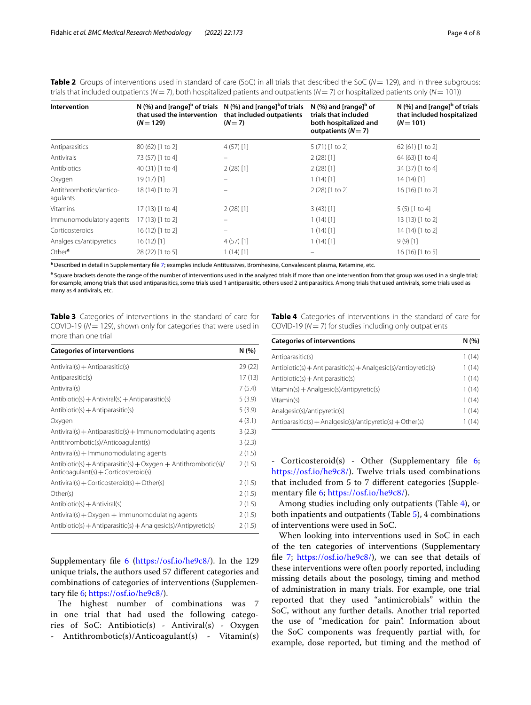<span id="page-3-0"></span>**Table 2** Groups of interventions used in standard of care (SoC) in all trials that described the SoC ( $N = 129$ ), and in three subgroups: trials that included outpatients ( $N = 7$ ), both hospitalized patients and outpatients ( $N = 7$ ) or hospitalized patients only ( $N = 101$ ))

| Intervention                        | that used the intervention<br>$(N = 129)$ | $N$ (%) and [range] <sup>b</sup> of trials $N$ (%) and [range] <sup>b</sup> of trials<br>that included outpatients<br>$(N=7)$ | N $\left(\% \right)$ and [range] <sup>b</sup> of<br>trials that included<br>both hospitalized and<br>outpatients $(N=7)$ | $N$ (%) and [range] <sup>b</sup> of trials<br>that included hospitalized<br>$(N = 101)$ |
|-------------------------------------|-------------------------------------------|-------------------------------------------------------------------------------------------------------------------------------|--------------------------------------------------------------------------------------------------------------------------|-----------------------------------------------------------------------------------------|
| Antiparasitics                      | 80 (62) [1 to 2]                          | $4(57)$ [1]                                                                                                                   | 5 (71) [1 to 2]                                                                                                          | 62 (61) [1 to 2]                                                                        |
| Antivirals                          | 73 (57) [1 to 4]                          |                                                                                                                               | $2(28)$ [1]                                                                                                              | 64 (63) [1 to 4]                                                                        |
| Antibiotics                         | 40 (31) [1 to 4]                          | $2(28)$ [1]                                                                                                                   | $2(28)$ [1]                                                                                                              | 34 (37) [1 to 4]                                                                        |
| Oxygen                              | $19(17)$ [1]                              |                                                                                                                               | $1(14)$ [1]                                                                                                              | 14(14)[1]                                                                               |
| Antithrombotics/antico-<br>agulants | 18 (14) [1 to 2]                          |                                                                                                                               | 2 (28) [1 to 2]                                                                                                          | 16 (16) [1 to 2]                                                                        |
| Vitamins                            | 17 (13) [1 to 4]                          | $2(28)$ [1]                                                                                                                   | $3(43)$ [1]                                                                                                              | $5(5)$ [1 to 4]                                                                         |
| Immunomodulatory agents             | 17 (13) [1 to 2]                          | $\qquad \qquad -$                                                                                                             | $1(14)$ [1]                                                                                                              | 13 (13) [1 to 2]                                                                        |
| Corticosteroids                     | 16 (12) [1 to 2]                          | $\qquad \qquad =$                                                                                                             | $1(14)$ [1]                                                                                                              | 14 (14) [1 to 2]                                                                        |
| Analgesics/antipyretics             | $16(12)$ [1]                              | $4(57)$ [1]                                                                                                                   | $1(14)$ [1]                                                                                                              | $9(9)$ [1]                                                                              |
| Other <sup>a</sup>                  | 28 (22) [1 to 5]                          | $1(14)$ [1]                                                                                                                   |                                                                                                                          | 16 (16) [1 to 5]                                                                        |

**a** Described in detail in Supplementary fle [7](#page-6-10); examples include Antitussives, Bromhexine, Convalescent plasma, Ketamine, etc.

**a** Square brackets denote the range of the number of interventions used in the analyzed trials if more than one intervention from that group was used in a single trial; for example, among trials that used antiparasitics, some trials used 1 antiparasitic, others used 2 antiparasitics. Among trials that used antivirals, some trials used as many as 4 antivirals, etc.

<span id="page-3-1"></span>**Table 3** Categories of interventions in the standard of care for COVID-19 (*N*= 129), shown only for categories that were used in more than one trial

| <b>Categories of interventions</b>                                                                      | N (%)  |
|---------------------------------------------------------------------------------------------------------|--------|
| Antiviral(s) + Antiparasitic(s)                                                                         | 29(22) |
| Antiparasitic(s)                                                                                        | 17(13) |
| Antiviral(s)                                                                                            | 7(5.4) |
| $Antibiotic(s) + Antiviral(s) + Antiparaistic(s)$                                                       | 5(3.9) |
| $Antibiotic(s) + Antiparaistic(s)$                                                                      | 5(3.9) |
| Oxygen                                                                                                  | 4(3.1) |
| $Antivial(s) + Antiparaistic(s) + Immunomodulating agents$                                              | 3(2.3) |
| Antithrombotic(s)/Anticoagulant(s)                                                                      | 3(2.3) |
| $Antivial(s) + Immunomodulating agents$                                                                 | 2(1.5) |
| $Antibiotic(s) + Antiparaistic(s) + Oxygen + Antithrombotic(s)$<br>Anticoagulant(s) + Corticosteroid(s) | 2(1.5) |
| $Antiviral(s) + Corticosteroid(s) + Other(s)$                                                           | 2(1.5) |
| Other(s)                                                                                                | 2(1.5) |
| $Antibiotic(s) + Antiviral(s)$                                                                          | 2(1.5) |
| $Antivial(s) + Oxygen + Immunomodulating agents$                                                        | 2(1.5) |
| $Antibiotic(s) + Antiparaistic(s) + Analgesic(s)/Antipverte(s)$                                         | 2(1.5) |

Supplementary file [6](#page-6-9) [\(https://osf.io/he9c8/\)](https://osf.io/he9c8/). In the 129 unique trials, the authors used 57 diferent categories and combinations of categories of interventions (Supplementary fle [6;](#page-6-9)<https://osf.io/he9c8/>).

The highest number of combinations was 7 in one trial that had used the following categories of SoC: Antibiotic(s) - Antiviral(s) - Oxygen Antithrombotic(s)/Anticoagulant(s) - Vitamin(s) <span id="page-3-2"></span>**Table 4** Categories of interventions in the standard of care for COVID-19 (*N*= 7) for studies including only outpatients

| <b>Categories of interventions</b>                             |       |
|----------------------------------------------------------------|-------|
| Antiparasitic(s)                                               | 1(14) |
| Antibiotic(s) + Antiparasitic(s) + Analgesic(s)/antipyretic(s) | 1(14) |
| $Antibiotic(s) + Antiparaistic(s)$                             | 1(14) |
| $V$ itamin(s) + Analgesic(s)/antipyretic(s)                    | 1(14) |
| Vitamin(s)                                                     | 1(14) |
| Analgesic(s)/antipyretic(s)                                    | 1(14) |
| Antiparasitic(s) + Analgesic(s)/antipyretic(s) + Other(s)      | 1(14) |

- Corticosteroid(s) - Other (Supplementary fle [6](#page-6-9); <https://osf.io/he9c8/>). Twelve trials used combinations that included from 5 to 7 diferent categories (Supplementary fle [6;](#page-6-9) <https://osf.io/he9c8/>).

Among studies including only outpatients (Table [4](#page-3-2)), or both inpatients and outpatients (Table [5\)](#page-4-0), 4 combinations of interventions were used in SoC.

When looking into interventions used in SoC in each of the ten categories of interventions (Supplementary fle [7;](#page-6-10) [https://osf.io/he9c8/\)](https://osf.io/he9c8/), we can see that details of these interventions were often poorly reported, including missing details about the posology, timing and method of administration in many trials. For example, one trial reported that they used "antimicrobials" within the SoC, without any further details. Another trial reported the use of "medication for pain". Information about the SoC components was frequently partial with, for example, dose reported, but timing and the method of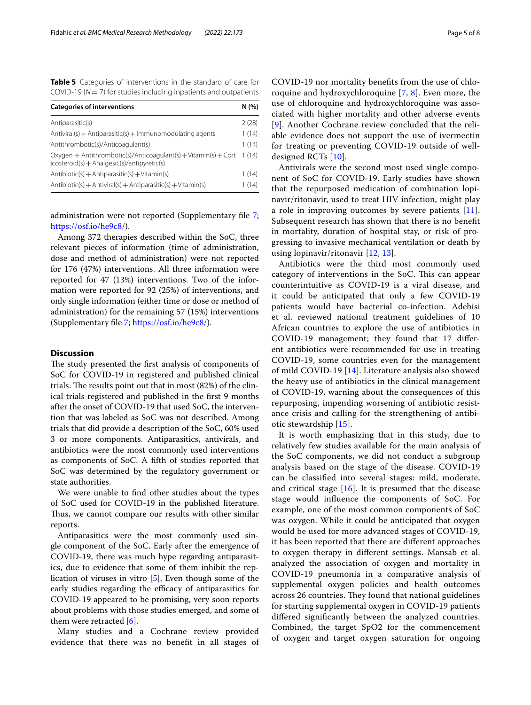<span id="page-4-0"></span>**Table 5** Categories of interventions in the standard of care for COVID-19 (*N*= 7) for studies including inpatients and outpatients

| <b>Categories of interventions</b>                                                                               |       |
|------------------------------------------------------------------------------------------------------------------|-------|
| Antiparasitic(s)                                                                                                 | 2(28) |
| $Antivial(s) + Antiparaistic(s) + Immunomodulating agents$                                                       | 1(14) |
| Antithrombotic(s)/Anticoagulant(s)                                                                               | 1(14) |
| Oxygen + Antithrombotic(s)/Anticoagulant(s) + Vitamin(s) + Cort<br>$icosteroid(s) + Analgesic(s)/antipyretic(s)$ | 1(14) |
| $Antibiotic(s) + Antiparaistic(s) + Vitamin(s)$                                                                  | 1(14) |
| $Antibiotic(s) + Antiviral(s) + Antiparaistic(s) + Vitamin(s)$                                                   | 1(14) |

administration were not reported (Supplementary file [7](#page-6-10); <https://osf.io/he9c8/>).

Among 372 therapies described within the SoC, three relevant pieces of information (time of administration, dose and method of administration) were not reported for 176 (47%) interventions. All three information were reported for 47 (13%) interventions. Two of the information were reported for 92 (25%) of interventions, and only single information (either time or dose or method of administration) for the remaining 57 (15%) interventions (Supplementary fle [7](#page-6-10); <https://osf.io/he9c8/>).

# **Discussion**

The study presented the first analysis of components of SoC for COVID-19 in registered and published clinical trials. The results point out that in most  $(82%)$  of the clinical trials registered and published in the frst 9 months after the onset of COVID-19 that used SoC, the intervention that was labeled as SoC was not described. Among trials that did provide a description of the SoC, 60% used 3 or more components. Antiparasitics, antivirals, and antibiotics were the most commonly used interventions as components of SoC. A ffth of studies reported that SoC was determined by the regulatory government or state authorities.

We were unable to fnd other studies about the types of SoC used for COVID-19 in the published literature. Thus, we cannot compare our results with other similar reports.

Antiparasitics were the most commonly used single component of the SoC. Early after the emergence of COVID-19, there was much hype regarding antiparasitics, due to evidence that some of them inhibit the replication of viruses in vitro [[5](#page-6-11)]. Even though some of the early studies regarding the efficacy of antiparasitics for COVID-19 appeared to be promising, very soon reports about problems with those studies emerged, and some of them were retracted [[6\]](#page-6-12).

Many studies and a Cochrane review provided evidence that there was no beneft in all stages of COVID-19 nor mortality benefts from the use of chloroquine and hydroxychloroquine [[7,](#page-6-13) [8\]](#page-6-14). Even more, the use of chloroquine and hydroxychloroquine was associated with higher mortality and other adverse events [[9](#page-6-15)]. Another Cochrane review concluded that the reliable evidence does not support the use of ivermectin for treating or preventing COVID-19 outside of welldesigned RCTs [\[10\]](#page-6-16).

Antivirals were the second most used single component of SoC for COVID-19. Early studies have shown that the repurposed medication of combination lopinavir/ritonavir, used to treat HIV infection, might play a role in improving outcomes by severe patients [[11](#page-6-17)]. Subsequent research has shown that there is no beneft in mortality, duration of hospital stay, or risk of progressing to invasive mechanical ventilation or death by using lopinavir/ritonavir [[12,](#page-6-18) [13\]](#page-6-19).

Antibiotics were the third most commonly used category of interventions in the SoC. This can appear counterintuitive as COVID-19 is a viral disease, and it could be anticipated that only a few COVID-19 patients would have bacterial co-infection. Adebisi et al. reviewed national treatment guidelines of 10 African countries to explore the use of antibiotics in COVID-19 management; they found that 17 diferent antibiotics were recommended for use in treating COVID-19, some countries even for the management of mild COVID-19 [[14\]](#page-6-20). Literature analysis also showed the heavy use of antibiotics in the clinical management of COVID-19, warning about the consequences of this repurposing, impending worsening of antibiotic resistance crisis and calling for the strengthening of antibiotic stewardship [[15\]](#page-6-21).

It is worth emphasizing that in this study, due to relatively few studies available for the main analysis of the SoC components, we did not conduct a subgroup analysis based on the stage of the disease. COVID-19 can be classifed into several stages: mild, moderate, and critical stage  $[16]$ . It is presumed that the disease stage would infuence the components of SoC. For example, one of the most common components of SoC was oxygen. While it could be anticipated that oxygen would be used for more advanced stages of COVID-19, it has been reported that there are diferent approaches to oxygen therapy in diferent settings. Mansab et al. analyzed the association of oxygen and mortality in COVID-19 pneumonia in a comparative analysis of supplemental oxygen policies and health outcomes across 26 countries. They found that national guidelines for starting supplemental oxygen in COVID-19 patients difered signifcantly between the analyzed countries. Combined, the target SpO2 for the commencement of oxygen and target oxygen saturation for ongoing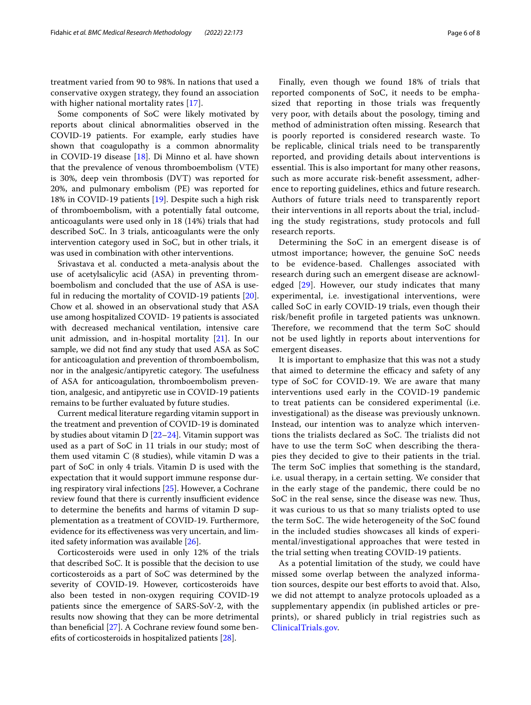treatment varied from 90 to 98%. In nations that used a conservative oxygen strategy, they found an association with higher national mortality rates [\[17](#page-6-23)].

Some components of SoC were likely motivated by reports about clinical abnormalities observed in the COVID-19 patients. For example, early studies have shown that coagulopathy is a common abnormality in COVID-19 disease [\[18](#page-6-24)]. Di Minno et al. have shown that the prevalence of venous thromboembolism (VTE) is 30%, deep vein thrombosis (DVT) was reported for 20%, and pulmonary embolism (PE) was reported for 18% in COVID-19 patients [[19](#page-7-0)]. Despite such a high risk of thromboembolism, with a potentially fatal outcome, anticoagulants were used only in 18 (14%) trials that had described SoC. In 3 trials, anticoagulants were the only intervention category used in SoC, but in other trials, it was used in combination with other interventions.

Srivastava et al. conducted a meta-analysis about the use of acetylsalicylic acid (ASA) in preventing thromboembolism and concluded that the use of ASA is useful in reducing the mortality of COVID-19 patients [\[20](#page-7-1)]. Chow et al. showed in an observational study that ASA use among hospitalized COVID- 19 patients is associated with decreased mechanical ventilation, intensive care unit admission, and in-hospital mortality [\[21](#page-7-2)]. In our sample, we did not fnd any study that used ASA as SoC for anticoagulation and prevention of thromboembolism, nor in the analgesic/antipyretic category. The usefulness of ASA for anticoagulation, thromboembolism prevention, analgesic, and antipyretic use in COVID-19 patients remains to be further evaluated by future studies.

Current medical literature regarding vitamin support in the treatment and prevention of COVID-19 is dominated by studies about vitamin D [[22–](#page-7-3)[24](#page-7-4)]. Vitamin support was used as a part of SoC in 11 trials in our study; most of them used vitamin C (8 studies), while vitamin D was a part of SoC in only 4 trials. Vitamin D is used with the expectation that it would support immune response during respiratory viral infections [\[25](#page-7-5)]. However, a Cochrane review found that there is currently insufficient evidence to determine the benefts and harms of vitamin D supplementation as a treatment of COVID-19. Furthermore, evidence for its efectiveness was very uncertain, and limited safety information was available [\[26\]](#page-7-6).

Corticosteroids were used in only 12% of the trials that described SoC. It is possible that the decision to use corticosteroids as a part of SoC was determined by the severity of COVID-19. However, corticosteroids have also been tested in non-oxygen requiring COVID-19 patients since the emergence of SARS-SoV-2, with the results now showing that they can be more detrimental than beneficial  $[27]$  $[27]$ . A Cochrane review found some benefts of corticosteroids in hospitalized patients [[28\]](#page-7-8).

Finally, even though we found 18% of trials that reported components of SoC, it needs to be emphasized that reporting in those trials was frequently very poor, with details about the posology, timing and method of administration often missing. Research that is poorly reported is considered research waste. To be replicable, clinical trials need to be transparently reported, and providing details about interventions is essential. This is also important for many other reasons, such as more accurate risk-beneft assessment, adherence to reporting guidelines, ethics and future research. Authors of future trials need to transparently report their interventions in all reports about the trial, including the study registrations, study protocols and full research reports.

Determining the SoC in an emergent disease is of utmost importance; however, the genuine SoC needs to be evidence-based. Challenges associated with research during such an emergent disease are acknowl-edged [\[29](#page-7-9)]. However, our study indicates that many experimental, i.e. investigational interventions, were called SoC in early COVID-19 trials, even though their risk/beneft profle in targeted patients was unknown. Therefore, we recommend that the term SoC should not be used lightly in reports about interventions for emergent diseases.

It is important to emphasize that this was not a study that aimed to determine the efficacy and safety of any type of SoC for COVID-19. We are aware that many interventions used early in the COVID-19 pandemic to treat patients can be considered experimental (i.e. investigational) as the disease was previously unknown. Instead, our intention was to analyze which interventions the trialists declared as SoC. The trialists did not have to use the term SoC when describing the therapies they decided to give to their patients in the trial. The term SoC implies that something is the standard, i.e. usual therapy, in a certain setting. We consider that in the early stage of the pandemic, there could be no SoC in the real sense, since the disease was new. Thus, it was curious to us that so many trialists opted to use the term SoC. The wide heterogeneity of the SoC found in the included studies showcases all kinds of experimental/investigational approaches that were tested in the trial setting when treating COVID-19 patients.

As a potential limitation of the study, we could have missed some overlap between the analyzed information sources, despite our best efforts to avoid that. Also, we did not attempt to analyze protocols uploaded as a supplementary appendix (in published articles or preprints), or shared publicly in trial registries such as [ClinicalTrials.gov](http://clinicaltrials.gov).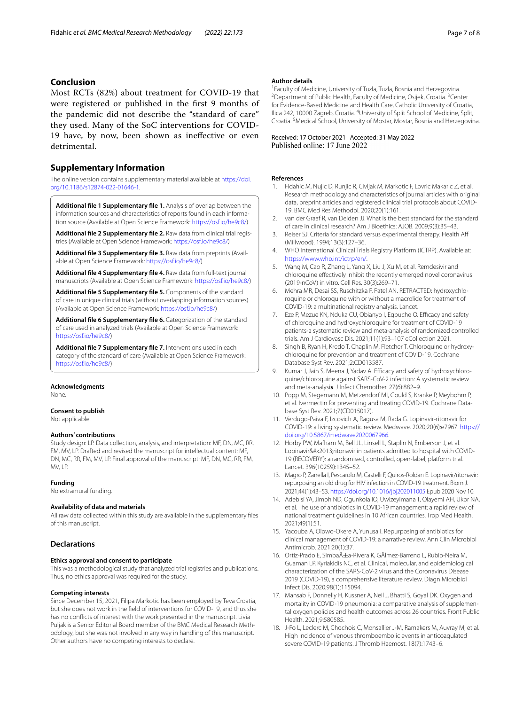# **Conclusion**

Most RCTs (82%) about treatment for COVID-19 that were registered or published in the frst 9 months of the pandemic did not describe the "standard of care" they used. Many of the SoC interventions for COVID-19 have, by now, been shown as inefective or even detrimental.

# **Supplementary Information**

The online version contains supplementary material available at [https://doi.](https://doi.org/10.1186/s12874-022-01646-1) [org/10.1186/s12874-022-01646-1](https://doi.org/10.1186/s12874-022-01646-1).

<span id="page-6-3"></span>**Additional fle 1 Supplementary fle 1.** Analysis of overlap between the information sources and characteristics of reports found in each information source (Available at Open Science Framework: [https://osf.io/he9c8/\)](https://osf.io/he9c8/)

**Additional fle 2 Supplementary fle 2.** Raw data from clinical trial registries (Available at Open Science Framework: [https://osf.io/he9c8/\)](https://osf.io/he9c8/)

**Additional fle 3 Supplementary fle 3.** Raw data from preprints (Available at Open Science Framework:<https://osf.io/he9c8/>)

**Additional fle 4 Supplementary fle 4.** Raw data from full-text journal manuscripts (Available at Open Science Framework: [https://osf.io/he9c8/\)](https://osf.io/he9c8/)

**Additional fle 5 Supplementary fle 5.** Components of the standard of care in unique clinical trials (without overlapping information sources) (Available at Open Science Framework:<https://osf.io/he9c8/>)

**Additional fle 6 Supplementary fle 6.** Categorization of the standard of care used in analyzed trials (Available at Open Science Framework: [https://osf.io/he9c8/\)](https://osf.io/he9c8/)

**Additional fle 7 Supplementary fle 7.** Interventions used in each category of the standard of care (Available at Open Science Framework: [https://osf.io/he9c8/\)](https://osf.io/he9c8/)

### **Acknowledgments**

None.

## **Consent to publish**

Not applicable.

#### **Authors' contributions**

Study design: LP. Data collection, analysis, and interpretation: MF, DN, MC, RR, FM, MV, LP. Drafted and revised the manuscript for intellectual content: MF, DN, MC, RR, FM, MV, LP. Final approval of the manuscript: MF, DN, MC, RR, FM, MV, LP.

#### **Funding**

No extramural funding.

#### **Availability of data and materials**

All raw data collected within this study are available in the supplementary fles of this manuscript.

# **Declarations**

# **Ethics approval and consent to participate**

This was a methodological study that analyzed trial registries and publications. Thus, no ethics approval was required for the study.

#### **Competing interests**

Since December 15, 2021, Filipa Markotic has been employed by Teva Croatia, but she does not work in the feld of interventions for COVID-19, and thus she has no conficts of interest with the work presented in the manuscript. Livia Puljak is a Senior Editorial Board member of the BMC Medical Research Methodology, but she was not involved in any way in handling of this manuscript. Other authors have no competing interests to declare.

#### **Author details**

<sup>1</sup> Faculty of Medicine, University of Tuzla, Tuzla, Bosnia and Herzegovina.<br><sup>2</sup> Department of Public Health, Faculty of Medicine, Osijek, Croatia, <sup>3</sup> Cen Department of Public Health, Faculty of Medicine, Osijek, Croatia. <sup>3</sup>Center for Evidence-Based Medicine and Health Care, Catholic University of Croatia, Ilica 242, 10000 Zagreb, Croatia. <sup>4</sup>University of Split School of Medicine, Split, Croatia. 5 Medical School, University of Mostar, Mostar, Bosnia and Herzegovina.

Received: 17 October 2021 Accepted: 31 May 2022<br>Published online: 17 June 2022

## **References**

- <span id="page-6-0"></span>1. Fidahic M, Nujic D, Runjic R, Civljak M, Markotic F, Lovric Makaric Z, et al. Research methodology and characteristics of journal articles with original data, preprint articles and registered clinical trial protocols about COVID-19. BMC Med Res Methodol. 2020;20(1):161.
- <span id="page-6-5"></span><span id="page-6-1"></span>2. van der Graaf R, van Delden JJ. What is the best standard for the standard of care in clinical research? Am J Bioethics: AJOB. 2009;9(3):35–43.
- <span id="page-6-2"></span>3. Reiser SJ. Criteria for standard versus experimental therapy. Health Af (Millwood). 1994;13(3):127–36.
- <span id="page-6-7"></span><span id="page-6-6"></span><span id="page-6-4"></span>4. WHO International Clinical Trials Registry Platform (ICTRP). Available at: <https://www.who.int/ictrp/en/>.
- <span id="page-6-11"></span>5. Wang M, Cao R, Zhang L, Yang X, Liu J, Xu M, et al. Remdesivir and chloroquine efectively inhibit the recently emerged novel coronavirus (2019-nCoV) in vitro. Cell Res. 30(3):269–71.
- <span id="page-6-12"></span><span id="page-6-8"></span>6. Mehra MR, Desai SS, Ruschitzka F, Patel AN. RETRACTED: hydroxychloroquine or chloroquine with or without a macrolide for treatment of COVID-19: a multinational registry analysis. Lancet.
- <span id="page-6-13"></span><span id="page-6-9"></span>7. Eze P, Mezue KN, Nduka CU, Obianyo I, Egbuche O. Efficacy and safety of chloroquine and hydroxychloroquine for treatment of COVID-19 patients-a systematic review and meta-analysis of randomized controlled trials. Am J Cardiovasc Dis. 2021;11(1):93–107 eCollection 2021.
- <span id="page-6-14"></span><span id="page-6-10"></span>8. Singh B, Ryan H, Kredo T, Chaplin M, Fletcher T. Chloroquine or hydroxychloroquine for prevention and treatment of COVID-19. Cochrane Database Syst Rev. 2021;2:CD013587.
- <span id="page-6-15"></span>9. Kumar J, Jain S, Meena J, Yadav A. Efficacy and safety of hydroxychloroquine/chloroquine against SARS-CoV-2 infection: A systematic review and meta-analysi**s**. J Infect Chemother. 27(6):882–9.
- <span id="page-6-16"></span>10. Popp M, Stegemann M, Metzendorf MI, Gould S, Kranke P, Meybohm P, et al. Ivermectin for preventing and treating COVID-19. Cochrane Database Syst Rev. 2021;7(CD015017).
- <span id="page-6-17"></span>11. Verdugo-Paiva F, Izcovich A, Ragusa M, Rada G. Lopinavir-ritonavir for COVID-19: a living systematic review. Medwave. 2020;20(6):e7967. [https://](https://doi.org/10.5867/medwave2020067966) [doi.org/10.5867/medwave2020067966.](https://doi.org/10.5867/medwave2020067966)
- <span id="page-6-18"></span>12. Horby PW, Mafham M, Bell JL, Linsell L, Staplin N, Emberson J, et al. Lopinavir–ritonavir in patients admitted to hospital with COVID-19 (RECOVERY): a randomised, controlled, open-label, platform trial. Lancet. 396(10259):1345–52.
- <span id="page-6-19"></span>13. Magro P, Zanella I, Pescarolo M, Castelli F, Quiros-Roldan E. Lopinavir/ritonavir: repurposing an old drug for HIV infection in COVID-19 treatment. Biom J. 2021;44(1):43–53. <https://doi.org/10.1016/jbj202011005> Epub 2020 Nov 10.
- <span id="page-6-20"></span>14. Adebisi YA, Jimoh ND, Ogunkola IO, Uwizeyimana T, Olayemi AH, Ukor NA, et al. The use of antibiotics in COVID-19 management: a rapid review of national treatment guidelines in 10 African countries. Trop Med Health. 2021;49(1):51.
- <span id="page-6-21"></span>15. Yacouba A, Olowo-Okere A, Yunusa I. Repurposing of antibiotics for clinical management of COVID-19: a narrative review. Ann Clin Microbiol Antimicrob. 2021;20(1):37.
- <span id="page-6-22"></span>16. Ortiz-Prado E, SimbaĂ±a-Rivera K, GĂłmez-Barreno L, Rubio-Neira M, Guaman LP, Kyriakidis NC, et al. Clinical, molecular, and epidemiological characterization of the SARS-CoV-2 virus and the Coronavirus Disease 2019 (COVID-19), a comprehensive literature review. Diagn Microbiol Infect Dis. 2020;98(1):115094.
- <span id="page-6-23"></span>17. Mansab F, Donnelly H, Kussner A, Neil J, Bhatti S, Goyal DK. Oxygen and mortality in COVID-19 pneumonia: a comparative analysis of supplemental oxygen policies and health outcomes across 26 countries. Front Public Health. 2021;9:580585.
- <span id="page-6-24"></span>18. J-Fo L, Leclerc M, Chochois C, Monsallier J-M, Ramakers M, Auvray M, et al. High incidence of venous thromboembolic events in anticoagulated severe COVID-19 patients. J Thromb Haemost. 18(7):1743–6.